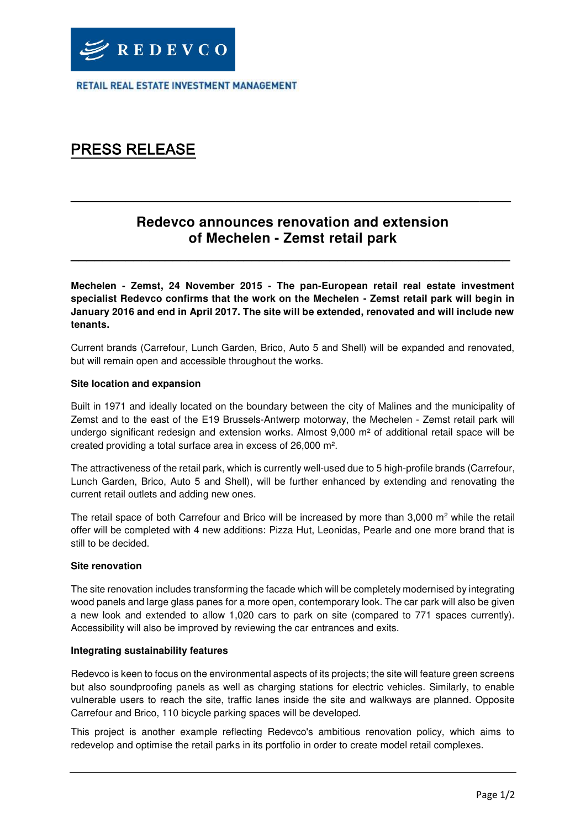RETAIL REAL ESTATE INVESTMENT MANAGEMENT

# PRESS RELEASE

## **Redevco announces renovation and extension of Mechelen - Zemst retail park**

**\_\_\_\_\_\_\_\_\_\_\_\_\_\_\_\_\_\_\_\_\_\_\_\_\_\_\_\_\_\_\_\_\_\_\_\_\_\_\_\_\_\_\_\_\_\_\_\_\_\_\_\_\_\_\_\_** 

**\_\_\_\_\_\_\_\_\_\_\_\_\_\_\_\_\_\_\_\_\_\_\_\_\_\_\_\_\_\_\_\_\_\_\_\_\_\_\_\_\_\_\_\_\_\_\_\_\_\_\_\_\_\_\_\_** 

**Mechelen - Zemst, 24 November 2015 - The pan-European retail real estate investment specialist Redevco confirms that the work on the Mechelen - Zemst retail park will begin in January 2016 and end in April 2017. The site will be extended, renovated and will include new tenants.** 

Current brands (Carrefour, Lunch Garden, Brico, Auto 5 and Shell) will be expanded and renovated, but will remain open and accessible throughout the works.

#### **Site location and expansion**

Built in 1971 and ideally located on the boundary between the city of Malines and the municipality of Zemst and to the east of the E19 Brussels-Antwerp motorway, the Mechelen - Zemst retail park will undergo significant redesign and extension works. Almost 9,000 m<sup>2</sup> of additional retail space will be created providing a total surface area in excess of 26,000 m².

The attractiveness of the retail park, which is currently well-used due to 5 high-profile brands (Carrefour, Lunch Garden, Brico, Auto 5 and Shell), will be further enhanced by extending and renovating the current retail outlets and adding new ones.

The retail space of both Carrefour and Brico will be increased by more than 3,000  $m^2$  while the retail offer will be completed with 4 new additions: Pizza Hut, Leonidas, Pearle and one more brand that is still to be decided.

#### **Site renovation**

The site renovation includes transforming the facade which will be completely modernised by integrating wood panels and large glass panes for a more open, contemporary look. The car park will also be given a new look and extended to allow 1,020 cars to park on site (compared to 771 spaces currently). Accessibility will also be improved by reviewing the car entrances and exits.

#### **Integrating sustainability features**

Redevco is keen to focus on the environmental aspects of its projects; the site will feature green screens but also soundproofing panels as well as charging stations for electric vehicles. Similarly, to enable vulnerable users to reach the site, traffic lanes inside the site and walkways are planned. Opposite Carrefour and Brico, 110 bicycle parking spaces will be developed.

This project is another example reflecting Redevco's ambitious renovation policy, which aims to redevelop and optimise the retail parks in its portfolio in order to create model retail complexes.